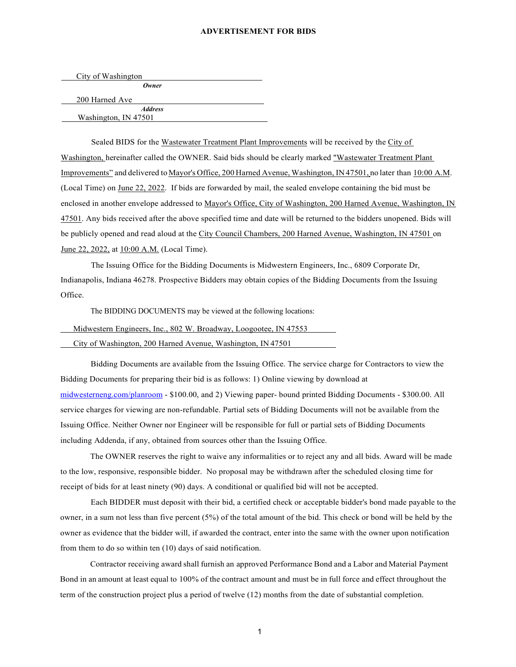## **ADVERTISEMENT FOR BIDS**

| City of Washington |         |  |
|--------------------|---------|--|
|                    | Owner   |  |
| 200 Harned Ave     |         |  |
|                    | Address |  |

Washington, IN 47501

Sealed BIDS for the Wastewater Treatment Plant Improvements will be received by the City of Washington, hereinafter called the OWNER. Said bids should be clearly marked "Wastewater Treatment Plant Improvements" and delivered to Mayor's Office, 200 Harned Avenue, Washington, IN 47501, no later than 10:00 A.M. (Local Time) on June 22, 2022. If bids are forwarded by mail, the sealed envelope containing the bid must be enclosed in another envelope addressed to Mayor's Office, City of Washington, 200 Harned Avenue, Washington, IN 47501. Any bids received after the above specified time and date will be returned to the bidders unopened. Bids will be publicly opened and read aloud at the City Council Chambers, 200 Harned Avenue, Washington, IN 47501 on June 22, 2022, at 10:00 A.M. (Local Time).

The Issuing Office for the Bidding Documents is Midwestern Engineers, Inc., 6809 Corporate Dr, Indianapolis, Indiana 46278. Prospective Bidders may obtain copies of the Bidding Documents from the Issuing Office.

The BIDDING DOCUMENTS may be viewed at the following locations:

 Midwestern Engineers, Inc., 802 W. Broadway, Loogootee, IN 47553 City of Washington, 200 Harned Avenue, Washington, IN 47501

Bidding Documents are available from the Issuing Office. The service charge for Contractors to view the Bidding Documents for preparing their bid is as follows: 1) Online viewing by download at [midwesterneng.com/planroom](http://www.midwesterneng.com/planroom) - \$100.00, and 2) Viewing paper- bound printed Bidding Documents - \$300.00. All service charges for viewing are non-refundable. Partial sets of Bidding Documents will not be available from the Issuing Office. Neither Owner nor Engineer will be responsible for full or partial sets of Bidding Documents including Addenda, if any, obtained from sources other than the Issuing Office.

The OWNER reserves the right to waive any informalities or to reject any and all bids. Award will be made to the low, responsive, responsible bidder. No proposal may be withdrawn after the scheduled closing time for receipt of bids for at least ninety (90) days. A conditional or qualified bid will not be accepted.

Each BIDDER must deposit with their bid, a certified check or acceptable bidder's bond made payable to the owner, in a sum not less than five percent (5%) of the total amount of the bid. This check or bond will be held by the owner as evidence that the bidder will, if awarded the contract, enter into the same with the owner upon notification from them to do so within ten (10) days of said notification.

Contractor receiving award shall furnish an approved Performance Bond and a Labor and Material Payment Bond in an amount at least equal to 100% of the contract amount and must be in full force and effect throughout the term of the construction project plus a period of twelve (12) months from the date of substantial completion.